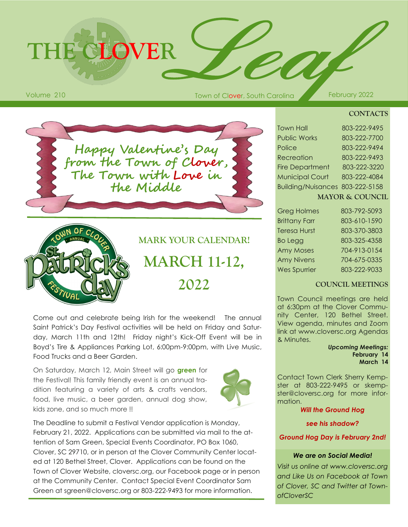# **THE CLOVER**

Volume 210 **February 2022 Town of Clover, South Carolina February 2022** 

#### **CONTACTS**

**Happy Valentine's Day from the Town of Clover, The Town with Love in the Middle**



**MARK YOUR CALENDAR! MARCH 11-12, 2022**

Come out and celebrate being Irish for the weekend! The annual Saint Patrick's Day Festival activities will be held on Friday and Saturday, March 11th and 12th! Friday night's Kick-Off Event will be in Boyd's Tire & Appliances Parking Lot, 6:00pm-9:00pm, with Live Music, Food Trucks and a Beer Garden.

On Saturday, March 12, Main Street will go **green** for the Festival! This family friendly event is an annual tradition featuring a variety of arts & crafts vendors, food, live music, a beer garden, annual dog show, kids zone, and so much more !!



The Deadline to submit a Festival Vendor application is Monday, February 21, 2022. Applications can be submitted via mail to the attention of Sam Green, Special Events Coordinator, PO Box 1060, Clover, SC 29710, or in person at the Clover Community Center located at 120 Bethel Street, Clover. Applications can be found on the Town of Clover Website, cloversc.org, our Facebook page or in person at the Community Center. Contact Special Event Coordinator Sam Green at sgreen@cloversc.org or 803-222-9493 for more information.

| <b>Town Hall</b>                | 803-222-9495 |
|---------------------------------|--------------|
| <b>Public Works</b>             | 803-222-7700 |
| Police                          | 803-222-9494 |
| Recreation                      | 803-222-9493 |
| <b>Fire Department</b>          | 803-222-3220 |
| <b>Municipal Court</b>          | 803-222-4084 |
| Building/Nuisances 803-222-5158 |              |
|                                 |              |

|  |  | MAYOR & COUNCIL |  |  |  |
|--|--|-----------------|--|--|--|
|  |  |                 |  |  |  |

| <b>Greg Holmes</b>   | 803-792-5093 |
|----------------------|--------------|
| <b>Brittany Farr</b> | 803-610-1590 |
| <b>Teresa Hurst</b>  | 803-370-3803 |
| <b>Bo Legg</b>       | 803-325-4358 |
| <b>Amy Moses</b>     | 704-913-0154 |
| <b>Amy Nivens</b>    | 704-675-0335 |
| <b>Wes Spurrier</b>  | 803-222-9033 |

### **COUNCIL MEETINGS**

Town Council meetings are held at 6:30pm at the Clover Community Center, 120 Bethel Street. View agenda, minutes and Zoom link at www.cloversc.org Agendas & Minutes.

> *Upcoming Meetings:* **February 14 March 14**

Contact Town Clerk Sherry Kempster at 803-222-9495 or skempster@cloversc.org for more information.

#### *Will the Ground Hog*

*see his shadow?* 

*Ground Hog Day is February 2nd!*

#### *We are on Social Media!*

*Visit us online at www.cloversc.org and Like Us on Facebook at Town of Clover, SC and Twitter at TownofCloverSC*